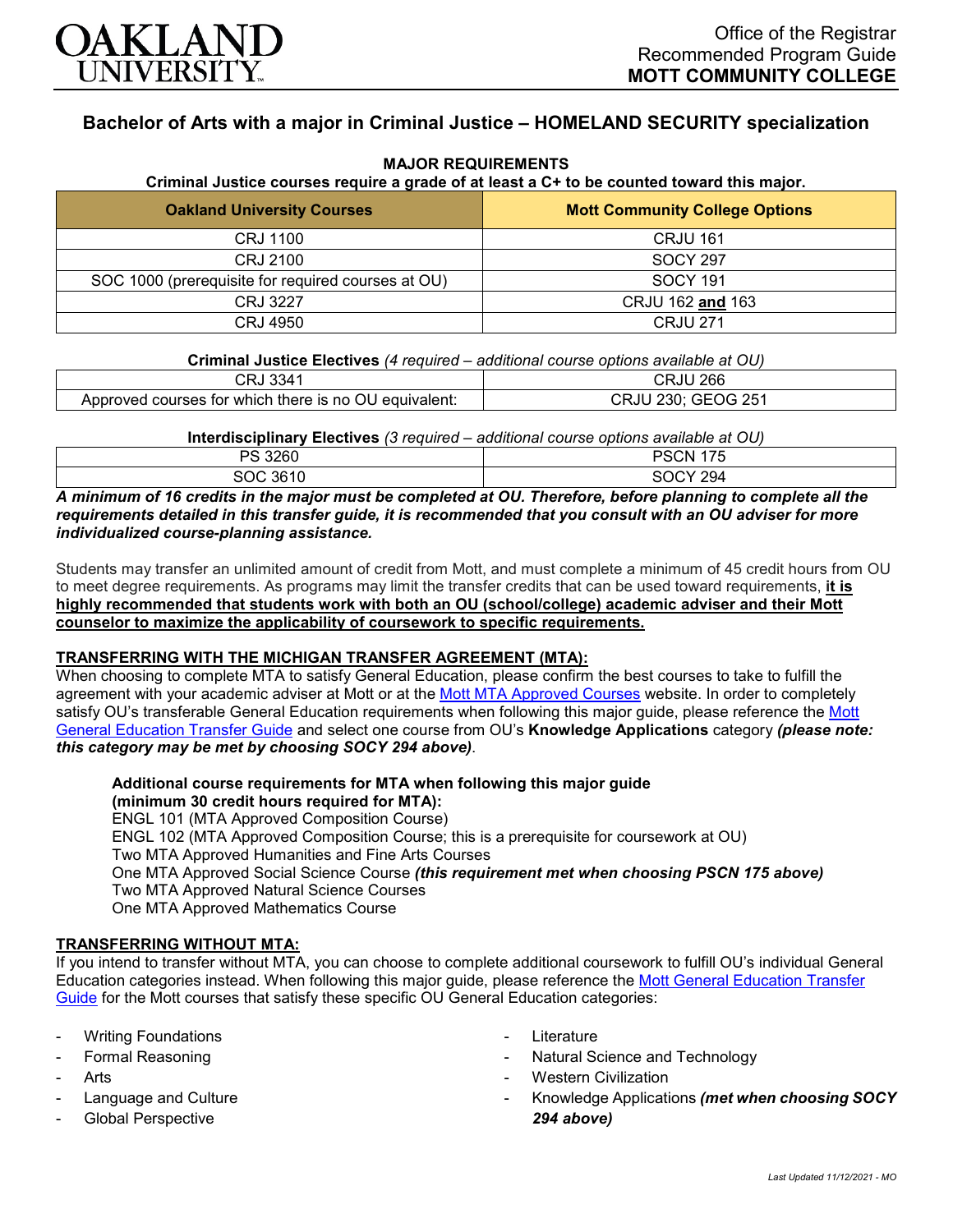

# **Bachelor of Arts with a major in Criminal Justice – HOMELAND SECURITY specialization**

| Criminal Justice courses require a grade of at least a C+ to be counted toward this major. |                                       |
|--------------------------------------------------------------------------------------------|---------------------------------------|
| <b>Oakland University Courses</b>                                                          | <b>Mott Community College Options</b> |
| <b>CRJ 1100</b>                                                                            | <b>CRJU 161</b>                       |
| CRJ 2100                                                                                   | <b>SOCY 297</b>                       |
| SOC 1000 (prerequisite for required courses at OU)                                         | <b>SOCY 191</b>                       |
| CRJ 3227                                                                                   | CRJU 162 and 163                      |
| CRJ 4950                                                                                   | <b>CRJU 271</b>                       |

# **MAJOR REQUIREMENTS**

**Criminal Justice Electives** *(4 required – additional course options available at OU)*

| CRJ 3341                                              | CRJU 266           |
|-------------------------------------------------------|--------------------|
| Approved courses for which there is no OU equivalent: | CRJU 230; GEOG 251 |

**Interdisciplinary Electives** *(3 required – additional course options available at OU)*

| PS 3260  | PSC.<br>`CN-<br>$1 - r$ |
|----------|-------------------------|
| SOC 3610 | SOCY 294                |

*A minimum of 16 credits in the major must be completed at OU. Therefore, before planning to complete all the requirements detailed in this transfer guide, it is recommended that you consult with an OU adviser for more individualized course-planning assistance.*

Students may transfer an unlimited amount of credit from Mott, and must complete a minimum of 45 credit hours from OU to meet degree requirements. As programs may limit the transfer credits that can be used toward requirements, **it is highly recommended that students work with both an OU (school/college) academic adviser and their Mott counselor to maximize the applicability of coursework to specific requirements.**

### **TRANSFERRING WITH THE MICHIGAN TRANSFER AGREEMENT (MTA):**

When choosing to complete MTA to satisfy General Education, please confirm the best courses to take to fulfill the agreement with your academic adviser at Mott or at the [Mott MTA Approved Courses](https://www.mcc.edu/counseling_student_dev/casd_mi_transfer_agreement.shtml) website. In order to completely satisfy OU's transferable General Education requirements when following this major guide, please reference the [Mott](https://www.oakland.edu/Assets/Oakland/program-guides/mott-community-college/university-general-education-requirements/Mott%20Gen%20Ed.pdf)  [General Education Transfer Guide](https://www.oakland.edu/Assets/Oakland/program-guides/mott-community-college/university-general-education-requirements/Mott%20Gen%20Ed.pdf) and select one course from OU's **Knowledge Applications** category *(please note: this category may be met by choosing SOCY 294 above)*.

**Additional course requirements for MTA when following this major guide (minimum 30 credit hours required for MTA):** ENGL 101 (MTA Approved Composition Course) ENGL 102 (MTA Approved Composition Course; this is a prerequisite for coursework at OU) Two MTA Approved Humanities and Fine Arts Courses One MTA Approved Social Science Course *(this requirement met when choosing PSCN 175 above)* Two MTA Approved Natural Science Courses One MTA Approved Mathematics Course

### **TRANSFERRING WITHOUT MTA:**

If you intend to transfer without MTA, you can choose to complete additional coursework to fulfill OU's individual General Education categories instead. When following this major guide, please reference the [Mott General Education Transfer](https://www.oakland.edu/Assets/Oakland/program-guides/mott-community-college/university-general-education-requirements/Mott%20Gen%20Ed.pdf)  [Guide](https://www.oakland.edu/Assets/Oakland/program-guides/mott-community-college/university-general-education-requirements/Mott%20Gen%20Ed.pdf) for the Mott courses that satisfy these specific OU General Education categories:

- **Writing Foundations**
- Formal Reasoning
- **Arts**
- Language and Culture
- Global Perspective
- **Literature**
- Natural Science and Technology
- **Western Civilization**
- Knowledge Applications *(met when choosing SOCY 294 above)*